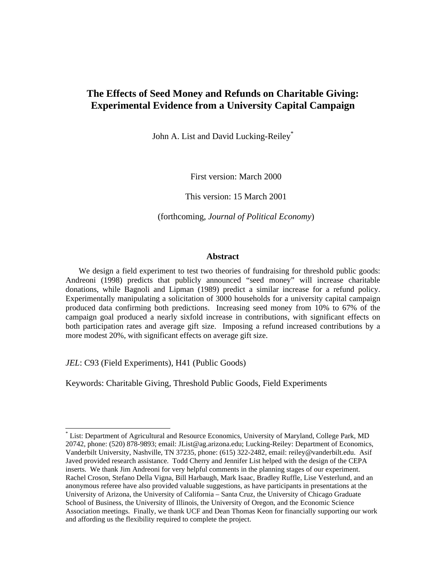# **The Effects of Seed Money and Refunds on Charitable Giving: Experimental Evidence from a University Capital Campaign**

John A. List and David Lucking-Reiley<sup>\*</sup>

First version: March 2000

This version: 15 March 2001

(forthcoming, *Journal of Political Economy*)

### **Abstract**

We design a field experiment to test two theories of fundraising for threshold public goods: Andreoni (1998) predicts that publicly announced "seed money" will increase charitable donations, while Bagnoli and Lipman (1989) predict a similar increase for a refund policy. Experimentally manipulating a solicitation of 3000 households for a university capital campaign produced data confirming both predictions. Increasing seed money from 10% to 67% of the campaign goal produced a nearly sixfold increase in contributions, with significant effects on both participation rates and average gift size. Imposing a refund increased contributions by a more modest 20%, with significant effects on average gift size.

*JEL*: C93 (Field Experiments), H41 (Public Goods)

 $\overline{a}$ 

Keywords: Charitable Giving, Threshold Public Goods, Field Experiments

<sup>\*</sup> List: Department of Agricultural and Resource Economics, University of Maryland, College Park, MD 20742, phone: (520) 878-9893; email: JList@ag.arizona.edu; Lucking-Reiley: Department of Economics, Vanderbilt University, Nashville, TN 37235, phone: (615) 322-2482, email: reiley@vanderbilt.edu. Asif Javed provided research assistance. Todd Cherry and Jennifer List helped with the design of the CEPA inserts. We thank Jim Andreoni for very helpful comments in the planning stages of our experiment. Rachel Croson, Stefano Della Vigna, Bill Harbaugh, Mark Isaac, Bradley Ruffle, Lise Vesterlund, and an anonymous referee have also provided valuable suggestions, as have participants in presentations at the University of Arizona, the University of California – Santa Cruz, the University of Chicago Graduate School of Business, the University of Illinois, the University of Oregon, and the Economic Science Association meetings. Finally, we thank UCF and Dean Thomas Keon for financially supporting our work and affording us the flexibility required to complete the project.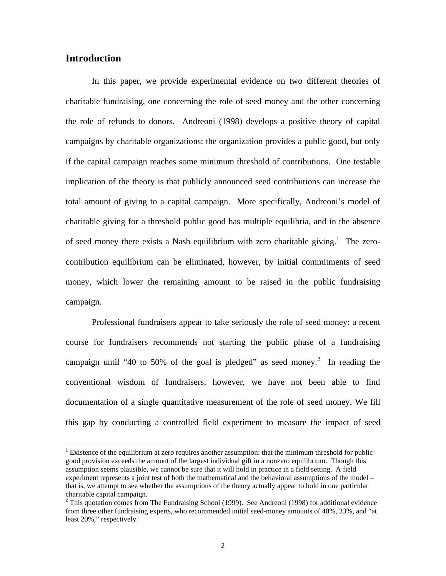# **Introduction**

 $\overline{a}$ 

In this paper, we provide experimental evidence on two different theories of charitable fundraising, one concerning the role of seed money and the other concerning the role of refunds to donors. Andreoni (1998) develops a positive theory of capital campaigns by charitable organizations: the organization provides a public good, but only if the capital campaign reaches some minimum threshold of contributions. One testable implication of the theory is that publicly announced seed contributions can increase the total amount of giving to a capital campaign. More specifically, Andreoni's model of charitable giving for a threshold public good has multiple equilibria, and in the absence of seed money there exists a Nash equilibrium with zero charitable giving.<sup>1</sup> The zerocontribution equilibrium can be eliminated, however, by initial commitments of seed money, which lower the remaining amount to be raised in the public fundraising campaign.

Professional fundraisers appear to take seriously the role of seed money: a recent course for fundraisers recommends not starting the public phase of a fundraising campaign until "40 to 50% of the goal is pledged" as seed money.<sup>2</sup> In reading the conventional wisdom of fundraisers, however, we have not been able to find documentation of a single quantitative measurement of the role of seed money. We fill this gap by conducting a controlled field experiment to measure the impact of seed

<sup>&</sup>lt;sup>1</sup> Existence of the equilibrium at zero requires another assumption: that the minimum threshold for publicgood provision exceeds the amount of the largest individual gift in a nonzero equilibrium. Though this assumption seems plausible, we cannot be sure that it will hold in practice in a field setting. A field experiment represents a joint test of both the mathematical and the behavioral assumptions of the model – that is, we attempt to see whether the assumptions of the theory actually appear to hold in one particular charitable capital campaign.

<sup>&</sup>lt;sup>2</sup> This quotation comes from The Fundraising School (1999). See Andreoni (1998) for additional evidence from three other fundraising experts, who recommended initial seed-money amounts of 40%, 33%, and "at least 20%," respectively.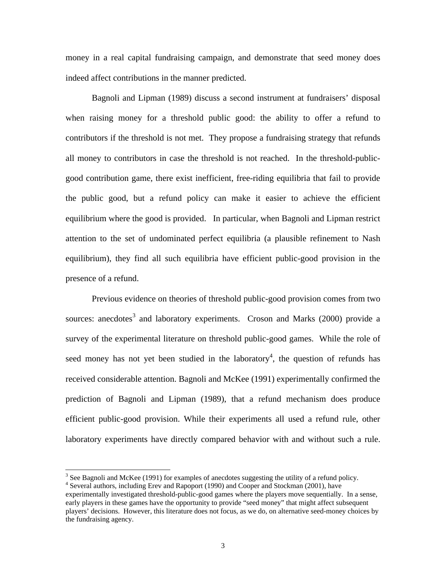money in a real capital fundraising campaign, and demonstrate that seed money does indeed affect contributions in the manner predicted.

Bagnoli and Lipman (1989) discuss a second instrument at fundraisers' disposal when raising money for a threshold public good: the ability to offer a refund to contributors if the threshold is not met. They propose a fundraising strategy that refunds all money to contributors in case the threshold is not reached. In the threshold-publicgood contribution game, there exist inefficient, free-riding equilibria that fail to provide the public good, but a refund policy can make it easier to achieve the efficient equilibrium where the good is provided. In particular, when Bagnoli and Lipman restrict attention to the set of undominated perfect equilibria (a plausible refinement to Nash equilibrium), they find all such equilibria have efficient public-good provision in the presence of a refund.

Previous evidence on theories of threshold public-good provision comes from two sources: anecdotes<sup>3</sup> and laboratory experiments. Croson and Marks (2000) provide a survey of the experimental literature on threshold public-good games. While the role of seed money has not yet been studied in the laboratory<sup>4</sup>, the question of refunds has received considerable attention. Bagnoli and McKee (1991) experimentally confirmed the prediction of Bagnoli and Lipman (1989), that a refund mechanism does produce efficient public-good provision. While their experiments all used a refund rule, other laboratory experiments have directly compared behavior with and without such a rule.

 $3$  See Bagnoli and McKee (1991) for examples of anecdotes suggesting the utility of a refund policy.

<sup>&</sup>lt;sup>4</sup> Several authors, including Erev and Rapoport (1990) and Cooper and Stockman (2001), have experimentally investigated threshold-public-good games where the players move sequentially. In a sense, early players in these games have the opportunity to provide "seed money" that might affect subsequent players' decisions. However, this literature does not focus, as we do, on alternative seed-money choices by the fundraising agency.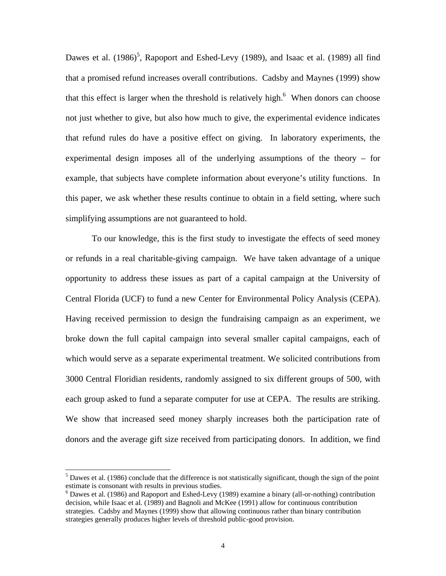Dawes et al.  $(1986)^5$ , Rapoport and Eshed-Levy (1989), and Isaac et al. (1989) all find that a promised refund increases overall contributions. Cadsby and Maynes (1999) show that this effect is larger when the threshold is relatively high. $<sup>6</sup>$  When donors can choose</sup> not just whether to give, but also how much to give, the experimental evidence indicates that refund rules do have a positive effect on giving. In laboratory experiments, the experimental design imposes all of the underlying assumptions of the theory – for example, that subjects have complete information about everyone's utility functions. In this paper, we ask whether these results continue to obtain in a field setting, where such simplifying assumptions are not guaranteed to hold.

To our knowledge, this is the first study to investigate the effects of seed money or refunds in a real charitable-giving campaign. We have taken advantage of a unique opportunity to address these issues as part of a capital campaign at the University of Central Florida (UCF) to fund a new Center for Environmental Policy Analysis (CEPA). Having received permission to design the fundraising campaign as an experiment, we broke down the full capital campaign into several smaller capital campaigns, each of which would serve as a separate experimental treatment. We solicited contributions from 3000 Central Floridian residents, randomly assigned to six different groups of 500, with each group asked to fund a separate computer for use at CEPA. The results are striking. We show that increased seed money sharply increases both the participation rate of donors and the average gift size received from participating donors. In addition, we find

 $<sup>5</sup>$  Dawes et al. (1986) conclude that the difference is not statistically significant, though the sign of the point</sup> estimate is consonant with results in previous studies.

<sup>&</sup>lt;sup>6</sup> Dawes et al. (1986) and Rapoport and Eshed-Levy (1989) examine a binary (all-or-nothing) contribution decision, while Isaac et al*.* (1989) and Bagnoli and McKee (1991) allow for continuous contribution strategies. Cadsby and Maynes (1999) show that allowing continuous rather than binary contribution strategies generally produces higher levels of threshold public-good provision.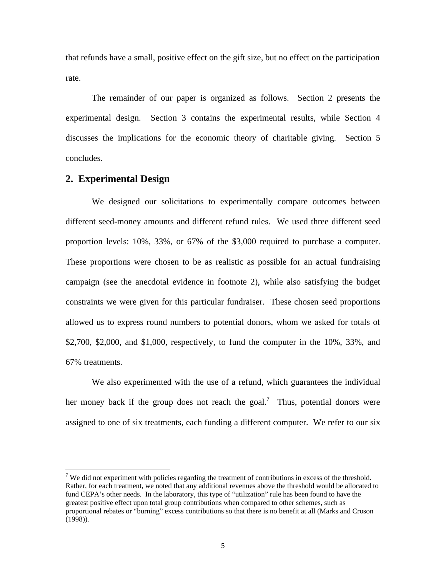that refunds have a small, positive effect on the gift size, but no effect on the participation rate.

The remainder of our paper is organized as follows. Section 2 presents the experimental design. Section 3 contains the experimental results, while Section 4 discusses the implications for the economic theory of charitable giving. Section 5 concludes.

# **2. Experimental Design**

 $\overline{a}$ 

We designed our solicitations to experimentally compare outcomes between different seed-money amounts and different refund rules. We used three different seed proportion levels: 10%, 33%, or 67% of the \$3,000 required to purchase a computer. These proportions were chosen to be as realistic as possible for an actual fundraising campaign (see the anecdotal evidence in footnote 2), while also satisfying the budget constraints we were given for this particular fundraiser. These chosen seed proportions allowed us to express round numbers to potential donors, whom we asked for totals of \$2,700, \$2,000, and \$1,000, respectively, to fund the computer in the 10%, 33%, and 67% treatments.

We also experimented with the use of a refund, which guarantees the individual her money back if the group does not reach the goal.<sup>7</sup> Thus, potential donors were assigned to one of six treatments, each funding a different computer. We refer to our six

<sup>&</sup>lt;sup>7</sup> We did not experiment with policies regarding the treatment of contributions in excess of the threshold. Rather, for each treatment, we noted that any additional revenues above the threshold would be allocated to fund CEPA's other needs. In the laboratory, this type of "utilization" rule has been found to have the greatest positive effect upon total group contributions when compared to other schemes, such as proportional rebates or "burning" excess contributions so that there is no benefit at all (Marks and Croson (1998)).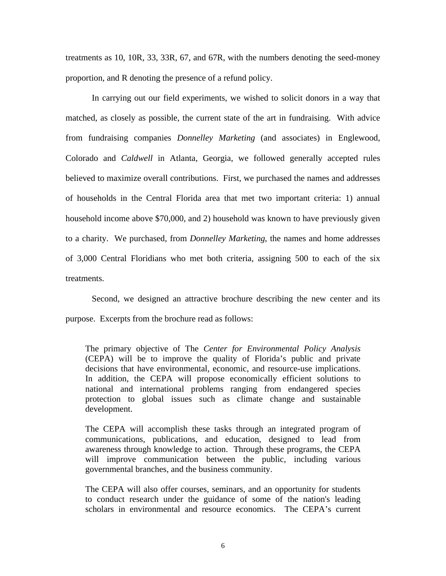treatments as 10, 10R, 33, 33R, 67, and 67R, with the numbers denoting the seed-money proportion, and R denoting the presence of a refund policy.

In carrying out our field experiments, we wished to solicit donors in a way that matched, as closely as possible, the current state of the art in fundraising. With advice from fundraising companies *Donnelley Marketing* (and associates) in Englewood, Colorado and *Caldwell* in Atlanta, Georgia, we followed generally accepted rules believed to maximize overall contributions. First, we purchased the names and addresses of households in the Central Florida area that met two important criteria: 1) annual household income above \$70,000, and 2) household was known to have previously given to a charity. We purchased, from *Donnelley Marketing*, the names and home addresses of 3,000 Central Floridians who met both criteria, assigning 500 to each of the six treatments.

Second, we designed an attractive brochure describing the new center and its purpose. Excerpts from the brochure read as follows:

The primary objective of The *Center for Environmental Policy Analysis* (CEPA) will be to improve the quality of Florida's public and private decisions that have environmental, economic, and resource-use implications. In addition, the CEPA will propose economically efficient solutions to national and international problems ranging from endangered species protection to global issues such as climate change and sustainable development.

The CEPA will accomplish these tasks through an integrated program of communications, publications, and education, designed to lead from awareness through knowledge to action. Through these programs, the CEPA will improve communication between the public, including various governmental branches, and the business community.

The CEPA will also offer courses, seminars, and an opportunity for students to conduct research under the guidance of some of the nation's leading scholars in environmental and resource economics. The CEPA's current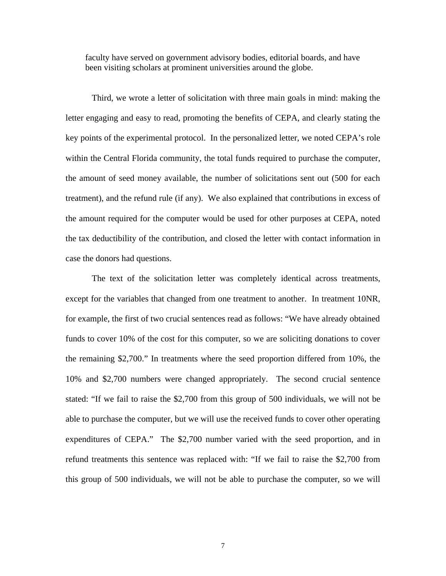faculty have served on government advisory bodies, editorial boards, and have been visiting scholars at prominent universities around the globe.

Third, we wrote a letter of solicitation with three main goals in mind: making the letter engaging and easy to read, promoting the benefits of CEPA, and clearly stating the key points of the experimental protocol. In the personalized letter, we noted CEPA's role within the Central Florida community, the total funds required to purchase the computer, the amount of seed money available, the number of solicitations sent out (500 for each treatment), and the refund rule (if any). We also explained that contributions in excess of the amount required for the computer would be used for other purposes at CEPA, noted the tax deductibility of the contribution, and closed the letter with contact information in case the donors had questions.

The text of the solicitation letter was completely identical across treatments, except for the variables that changed from one treatment to another. In treatment 10NR, for example, the first of two crucial sentences read as follows: "We have already obtained funds to cover 10% of the cost for this computer, so we are soliciting donations to cover the remaining \$2,700." In treatments where the seed proportion differed from 10%, the 10% and \$2,700 numbers were changed appropriately. The second crucial sentence stated: "If we fail to raise the \$2,700 from this group of 500 individuals, we will not be able to purchase the computer, but we will use the received funds to cover other operating expenditures of CEPA." The \$2,700 number varied with the seed proportion, and in refund treatments this sentence was replaced with: "If we fail to raise the \$2,700 from this group of 500 individuals, we will not be able to purchase the computer, so we will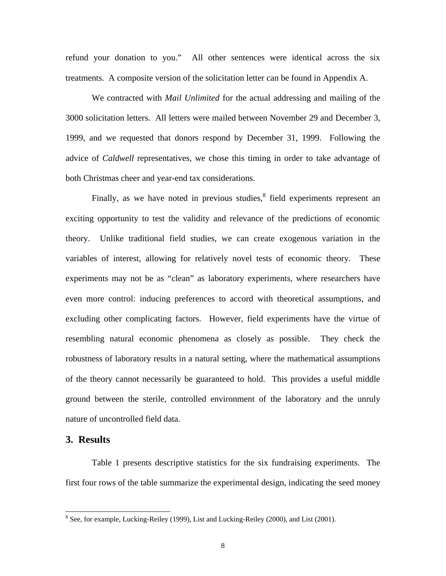refund your donation to you." All other sentences were identical across the six treatments. A composite version of the solicitation letter can be found in Appendix A.

We contracted with *Mail Unlimited* for the actual addressing and mailing of the 3000 solicitation letters. All letters were mailed between November 29 and December 3, 1999, and we requested that donors respond by December 31, 1999. Following the advice of *Caldwell* representatives, we chose this timing in order to take advantage of both Christmas cheer and year-end tax considerations.

Finally, as we have noted in previous studies, ${}^{8}$  field experiments represent an exciting opportunity to test the validity and relevance of the predictions of economic theory. Unlike traditional field studies, we can create exogenous variation in the variables of interest, allowing for relatively novel tests of economic theory. These experiments may not be as "clean" as laboratory experiments, where researchers have even more control: inducing preferences to accord with theoretical assumptions, and excluding other complicating factors. However, field experiments have the virtue of resembling natural economic phenomena as closely as possible. They check the robustness of laboratory results in a natural setting, where the mathematical assumptions of the theory cannot necessarily be guaranteed to hold. This provides a useful middle ground between the sterile, controlled environment of the laboratory and the unruly nature of uncontrolled field data.

## **3. Results**

l

Table 1 presents descriptive statistics for the six fundraising experiments. The first four rows of the table summarize the experimental design, indicating the seed money

 $8$  See, for example, Lucking-Reiley (1999), List and Lucking-Reiley (2000), and List (2001).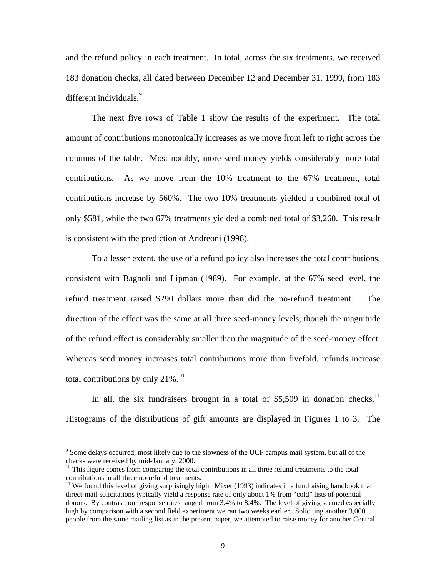and the refund policy in each treatment. In total, across the six treatments, we received 183 donation checks, all dated between December 12 and December 31, 1999, from 183 different individuals.<sup>9</sup>

The next five rows of Table 1 show the results of the experiment. The total amount of contributions monotonically increases as we move from left to right across the columns of the table. Most notably, more seed money yields considerably more total contributions. As we move from the 10% treatment to the 67% treatment, total contributions increase by 560%. The two 10% treatments yielded a combined total of only \$581, while the two 67% treatments yielded a combined total of \$3,260. This result is consistent with the prediction of Andreoni (1998).

To a lesser extent, the use of a refund policy also increases the total contributions, consistent with Bagnoli and Lipman (1989). For example, at the 67% seed level, the refund treatment raised \$290 dollars more than did the no-refund treatment. The direction of the effect was the same at all three seed-money levels, though the magnitude of the refund effect is considerably smaller than the magnitude of the seed-money effect. Whereas seed money increases total contributions more than fivefold, refunds increase total contributions by only  $21\%$ .<sup>10</sup>

In all, the six fundraisers brought in a total of  $$5,509$  in donation checks.<sup>11</sup> Histograms of the distributions of gift amounts are displayed in Figures 1 to 3. The

<sup>&</sup>lt;sup>9</sup> Some delays occurred, most likely due to the slowness of the UCF campus mail system, but all of the checks were received by mid-January, 2000.

 $10$  This figure comes from comparing the total contributions in all three refund treatments to the total contributions in all three no-refund treatments.

 $11$  We found this level of giving surprisingly high. Mixer (1993) indicates in a fundraising handbook that direct-mail solicitations typically yield a response rate of only about 1% from "cold" lists of potential donors. By contrast, our response rates ranged from 3.4% to 8.4%. The level of giving seemed especially high by comparison with a second field experiment we ran two weeks earlier. Soliciting another 3,000 people from the same mailing list as in the present paper, we attempted to raise money for another Central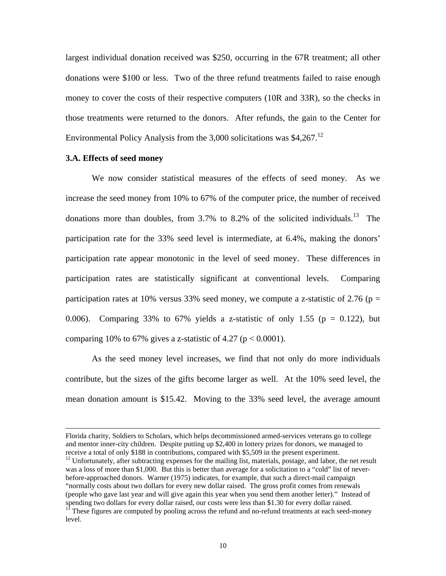largest individual donation received was \$250, occurring in the 67R treatment; all other donations were \$100 or less. Two of the three refund treatments failed to raise enough money to cover the costs of their respective computers (10R and 33R), so the checks in those treatments were returned to the donors. After refunds, the gain to the Center for Environmental Policy Analysis from the 3,000 solicitations was  $$4,267$ <sup>12</sup>

### **3.A. Effects of seed money**

 $\overline{a}$ 

We now consider statistical measures of the effects of seed money. As we increase the seed money from 10% to 67% of the computer price, the number of received donations more than doubles, from  $3.7\%$  to  $8.2\%$  of the solicited individuals.<sup>13</sup> The participation rate for the 33% seed level is intermediate, at 6.4%, making the donors' participation rate appear monotonic in the level of seed money. These differences in participation rates are statistically significant at conventional levels. Comparing participation rates at 10% versus 33% seed money, we compute a z-statistic of 2.76 ( $p =$ 0.006). Comparing 33% to 67% yields a z-statistic of only 1.55 ( $p = 0.122$ ), but comparing 10% to 67% gives a z-statistic of 4.27 ( $p < 0.0001$ ).

As the seed money level increases, we find that not only do more individuals contribute, but the sizes of the gifts become larger as well. At the 10% seed level, the mean donation amount is \$15.42. Moving to the 33% seed level, the average amount

Florida charity, Soldiers to Scholars, which helps decommissioned armed-services veterans go to college and mentor inner-city children. Despite putting up \$2,400 in lottery prizes for donors, we managed to receive a total of only \$188 in contributions, compared with \$5,509 in the present experiment. <sup>12</sup> Unfortunately, after subtracting expenses for the mailing list, materials, postage, and labor, the net result was a loss of more than \$1,000. But this is better than average for a solicitation to a "cold" list of neverbefore-approached donors. Warner (1975) indicates, for example, that such a direct-mail campaign "normally costs about two dollars for every new dollar raised. The gross profit comes from renewals (people who gave last year and will give again this year when you send them another letter)." Instead of spending two dollars for every dollar raised, our costs were less than \$1.30 for every dollar raised.

<sup>13</sup> These figures are computed by pooling across the refund and no-refund treatments at each seed-money level.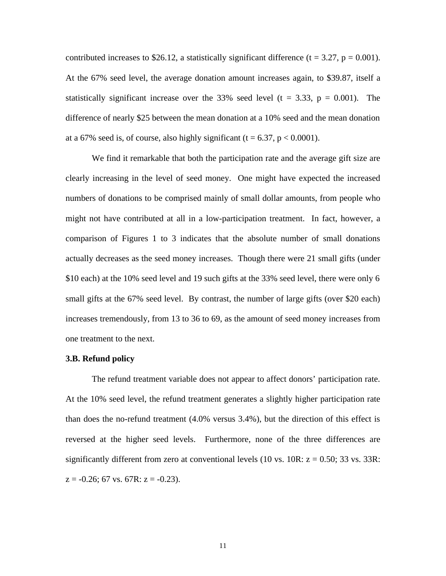contributed increases to \$26.12, a statistically significant difference ( $t = 3.27$ ,  $p = 0.001$ ). At the 67% seed level, the average donation amount increases again, to \$39.87, itself a statistically significant increase over the 33% seed level ( $t = 3.33$ ,  $p = 0.001$ ). The difference of nearly \$25 between the mean donation at a 10% seed and the mean donation at a 67% seed is, of course, also highly significant (t = 6.37,  $p < 0.0001$ ).

We find it remarkable that both the participation rate and the average gift size are clearly increasing in the level of seed money. One might have expected the increased numbers of donations to be comprised mainly of small dollar amounts, from people who might not have contributed at all in a low-participation treatment. In fact, however, a comparison of Figures 1 to 3 indicates that the absolute number of small donations actually decreases as the seed money increases. Though there were 21 small gifts (under \$10 each) at the 10% seed level and 19 such gifts at the 33% seed level, there were only 6 small gifts at the 67% seed level. By contrast, the number of large gifts (over \$20 each) increases tremendously, from 13 to 36 to 69, as the amount of seed money increases from one treatment to the next.

#### **3.B. Refund policy**

The refund treatment variable does not appear to affect donors' participation rate. At the 10% seed level, the refund treatment generates a slightly higher participation rate than does the no-refund treatment (4.0% versus 3.4%), but the direction of this effect is reversed at the higher seed levels. Furthermore, none of the three differences are significantly different from zero at conventional levels (10 vs.  $10R: z = 0.50$ ; 33 vs. 33R:  $z = -0.26$ ; 67 vs. 67R:  $z = -0.23$ ).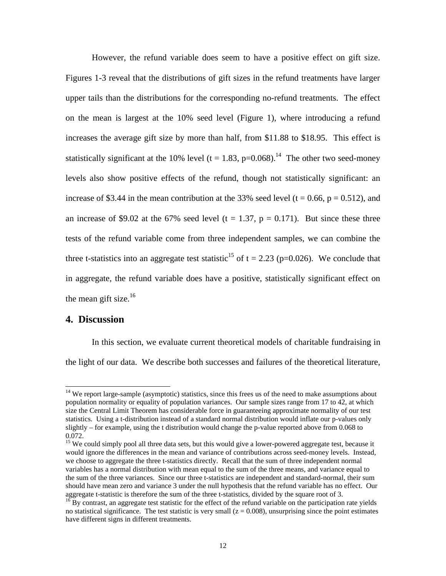However, the refund variable does seem to have a positive effect on gift size. Figures 1-3 reveal that the distributions of gift sizes in the refund treatments have larger upper tails than the distributions for the corresponding no-refund treatments. The effect on the mean is largest at the 10% seed level (Figure 1), where introducing a refund increases the average gift size by more than half, from \$11.88 to \$18.95. This effect is statistically significant at the 10% level (t = 1.83, p=0.068).<sup>14</sup> The other two seed-money levels also show positive effects of the refund, though not statistically significant: an increase of \$3.44 in the mean contribution at the 33% seed level ( $t = 0.66$ ,  $p = 0.512$ ), and an increase of \$9.02 at the 67% seed level (t = 1.37, p = 0.171). But since these three tests of the refund variable come from three independent samples, we can combine the three t-statistics into an aggregate test statistic<sup>15</sup> of t = 2.23 (p=0.026). We conclude that in aggregate, the refund variable does have a positive, statistically significant effect on the mean gift size. $16$ 

## **4. Discussion**

l

In this section, we evaluate current theoretical models of charitable fundraising in the light of our data. We describe both successes and failures of the theoretical literature,

<sup>&</sup>lt;sup>14</sup> We report large-sample (asymptotic) statistics, since this frees us of the need to make assumptions about population normality or equality of population variances. Our sample sizes range from 17 to 42, at which size the Central Limit Theorem has considerable force in guaranteeing approximate normality of our test statistics. Using a t-distribution instead of a standard normal distribution would inflate our p-values only slightly – for example, using the t distribution would change the p-value reported above from 0.068 to 0.072.

<sup>&</sup>lt;sup>15</sup> We could simply pool all three data sets, but this would give a lower-powered aggregate test, because it would ignore the differences in the mean and variance of contributions across seed-money levels. Instead, we choose to aggregate the three t-statistics directly. Recall that the sum of three independent normal variables has a normal distribution with mean equal to the sum of the three means, and variance equal to the sum of the three variances. Since our three t-statistics are independent and standard-normal, their sum should have mean zero and variance 3 under the null hypothesis that the refund variable has no effect. Our aggregate t-statistic is therefore the sum of the three t-statistics, divided by the square root of 3.

 $16$  By contrast, an aggregate test statistic for the effect of the refund variable on the participation rate yields no statistical significance. The test statistic is very small  $(z = 0.008)$ , unsurprising since the point estimates have different signs in different treatments.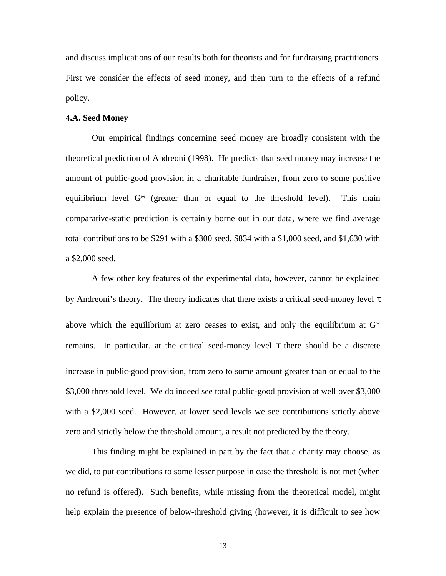and discuss implications of our results both for theorists and for fundraising practitioners. First we consider the effects of seed money, and then turn to the effects of a refund policy.

### **4.A. Seed Money**

Our empirical findings concerning seed money are broadly consistent with the theoretical prediction of Andreoni (1998). He predicts that seed money may increase the amount of public-good provision in a charitable fundraiser, from zero to some positive equilibrium level G\* (greater than or equal to the threshold level). This main comparative-static prediction is certainly borne out in our data, where we find average total contributions to be \$291 with a \$300 seed, \$834 with a \$1,000 seed, and \$1,630 with a \$2,000 seed.

A few other key features of the experimental data, however, cannot be explained by Andreoni's theory. The theory indicates that there exists a critical seed-money level above which the equilibrium at zero ceases to exist, and only the equilibrium at  $G^*$ remains. In particular, at the critical seed-money level there should be a discrete increase in public-good provision, from zero to some amount greater than or equal to the \$3,000 threshold level. We do indeed see total public-good provision at well over \$3,000 with a \$2,000 seed. However, at lower seed levels we see contributions strictly above zero and strictly below the threshold amount, a result not predicted by the theory.

This finding might be explained in part by the fact that a charity may choose, as we did, to put contributions to some lesser purpose in case the threshold is not met (when no refund is offered). Such benefits, while missing from the theoretical model, might help explain the presence of below-threshold giving (however, it is difficult to see how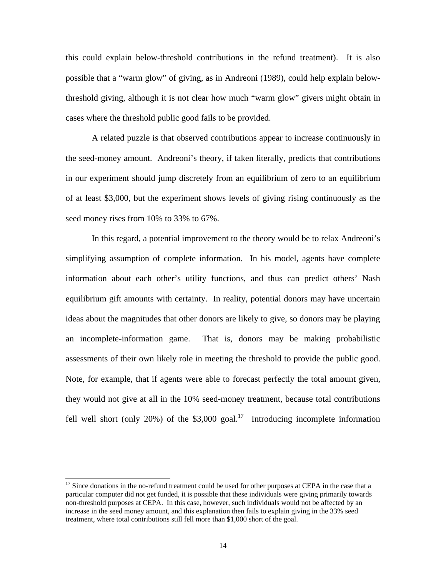this could explain below-threshold contributions in the refund treatment). It is also possible that a "warm glow" of giving, as in Andreoni (1989), could help explain belowthreshold giving, although it is not clear how much "warm glow" givers might obtain in cases where the threshold public good fails to be provided.

A related puzzle is that observed contributions appear to increase continuously in the seed-money amount. Andreoni's theory, if taken literally, predicts that contributions in our experiment should jump discretely from an equilibrium of zero to an equilibrium of at least \$3,000, but the experiment shows levels of giving rising continuously as the seed money rises from 10% to 33% to 67%.

In this regard, a potential improvement to the theory would be to relax Andreoni's simplifying assumption of complete information. In his model, agents have complete information about each other's utility functions, and thus can predict others' Nash equilibrium gift amounts with certainty. In reality, potential donors may have uncertain ideas about the magnitudes that other donors are likely to give, so donors may be playing an incomplete-information game. That is, donors may be making probabilistic assessments of their own likely role in meeting the threshold to provide the public good. Note, for example, that if agents were able to forecast perfectly the total amount given, they would not give at all in the 10% seed-money treatment, because total contributions fell well short (only 20%) of the  $$3,000$  goal.<sup>17</sup> Introducing incomplete information

 $17$  Since donations in the no-refund treatment could be used for other purposes at CEPA in the case that a particular computer did not get funded, it is possible that these individuals were giving primarily towards non-threshold purposes at CEPA. In this case, however, such individuals would not be affected by an increase in the seed money amount, and this explanation then fails to explain giving in the 33% seed treatment, where total contributions still fell more than \$1,000 short of the goal.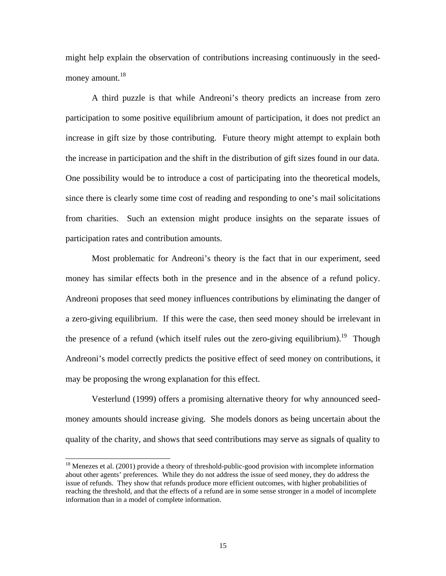might help explain the observation of contributions increasing continuously in the seedmoney amount. $18$ 

A third puzzle is that while Andreoni's theory predicts an increase from zero participation to some positive equilibrium amount of participation, it does not predict an increase in gift size by those contributing. Future theory might attempt to explain both the increase in participation and the shift in the distribution of gift sizes found in our data. One possibility would be to introduce a cost of participating into the theoretical models, since there is clearly some time cost of reading and responding to one's mail solicitations from charities. Such an extension might produce insights on the separate issues of participation rates and contribution amounts.

Most problematic for Andreoni's theory is the fact that in our experiment, seed money has similar effects both in the presence and in the absence of a refund policy. Andreoni proposes that seed money influences contributions by eliminating the danger of a zero-giving equilibrium. If this were the case, then seed money should be irrelevant in the presence of a refund (which itself rules out the zero-giving equilibrium).<sup>19</sup> Though Andreoni's model correctly predicts the positive effect of seed money on contributions, it may be proposing the wrong explanation for this effect.

Vesterlund (1999) offers a promising alternative theory for why announced seedmoney amounts should increase giving. She models donors as being uncertain about the quality of the charity, and shows that seed contributions may serve as signals of quality to

 $18$  Menezes et al. (2001) provide a theory of threshold-public-good provision with incomplete information about other agents' preferences. While they do not address the issue of seed money, they do address the issue of refunds. They show that refunds produce more efficient outcomes, with higher probabilities of reaching the threshold, and that the effects of a refund are in some sense stronger in a model of incomplete information than in a model of complete information.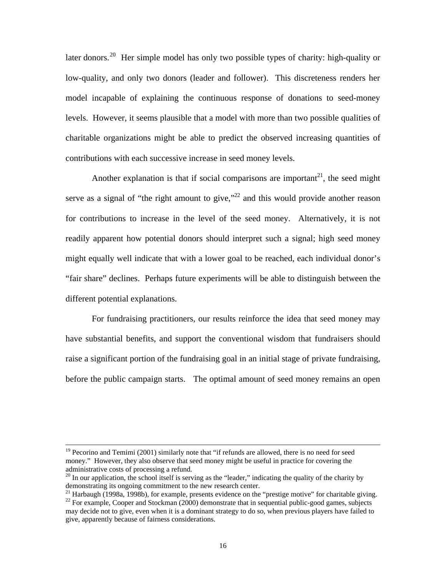later donors.<sup>20</sup> Her simple model has only two possible types of charity: high-quality or low-quality, and only two donors (leader and follower). This discreteness renders her model incapable of explaining the continuous response of donations to seed-money levels. However, it seems plausible that a model with more than two possible qualities of charitable organizations might be able to predict the observed increasing quantities of contributions with each successive increase in seed money levels.

Another explanation is that if social comparisons are important<sup>21</sup>, the seed might serve as a signal of "the right amount to give," $^{22}$  and this would provide another reason for contributions to increase in the level of the seed money. Alternatively, it is not readily apparent how potential donors should interpret such a signal; high seed money might equally well indicate that with a lower goal to be reached, each individual donor's "fair share" declines. Perhaps future experiments will be able to distinguish between the different potential explanations.

For fundraising practitioners, our results reinforce the idea that seed money may have substantial benefits, and support the conventional wisdom that fundraisers should raise a significant portion of the fundraising goal in an initial stage of private fundraising, before the public campaign starts. The optimal amount of seed money remains an open

 $19$  Pecorino and Temimi (2001) similarly note that "if refunds are allowed, there is no need for seed money." However, they also observe that seed money might be useful in practice for covering the administrative costs of processing a refund.

 $^{20}$  In our application, the school itself is serving as the "leader," indicating the quality of the charity by demonstrating its ongoing commitment to the new research center.

<sup>&</sup>lt;sup>21</sup> Harbaugh (1998a, 1998b), for example, presents evidence on the "prestige motive" for charitable giving.

 $22$  For example, Cooper and Stockman (2000) demonstrate that in sequential public-good games, subjects may decide not to give, even when it is a dominant strategy to do so, when previous players have failed to give, apparently because of fairness considerations.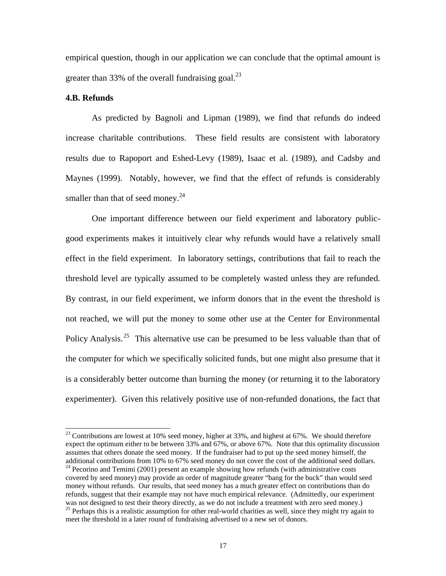empirical question, though in our application we can conclude that the optimal amount is greater than 33% of the overall fundraising goal.<sup>23</sup>

### **4.B. Refunds**

 $\overline{a}$ 

As predicted by Bagnoli and Lipman (1989), we find that refunds do indeed increase charitable contributions. These field results are consistent with laboratory results due to Rapoport and Eshed-Levy (1989), Isaac et al. (1989), and Cadsby and Maynes (1999). Notably, however, we find that the effect of refunds is considerably smaller than that of seed money. $^{24}$ 

One important difference between our field experiment and laboratory publicgood experiments makes it intuitively clear why refunds would have a relatively small effect in the field experiment. In laboratory settings, contributions that fail to reach the threshold level are typically assumed to be completely wasted unless they are refunded. By contrast, in our field experiment, we inform donors that in the event the threshold is not reached, we will put the money to some other use at the Center for Environmental Policy Analysis.<sup>25</sup> This alternative use can be presumed to be less valuable than that of the computer for which we specifically solicited funds, but one might also presume that it is a considerably better outcome than burning the money (or returning it to the laboratory experimenter). Given this relatively positive use of non-refunded donations, the fact that

 $^{23}$  Contributions are lowest at 10% seed money, higher at 33%, and highest at 67%. We should therefore expect the optimum either to be between 33% and 67%, or above 67%. Note that this optimality discussion assumes that others donate the seed money. If the fundraiser had to put up the seed money himself, the additional contributions from 10% to 67% seed money do not cover the cost of the additional seed dollars.

<sup>&</sup>lt;sup>24</sup> Pecorino and Temimi (2001) present an example showing how refunds (with administrative costs covered by seed money) may provide an order of magnitude greater "bang for the buck" than would seed money without refunds. Our results, that seed money has a much greater effect on contributions than do refunds, suggest that their example may not have much empirical relevance. (Admittedly, our experiment was not designed to test their theory directly, as we do not include a treatment with zero seed money.)

<sup>&</sup>lt;sup>25</sup> Perhaps this is a realistic assumption for other real-world charities as well, since they might try again to meet the threshold in a later round of fundraising advertised to a new set of donors.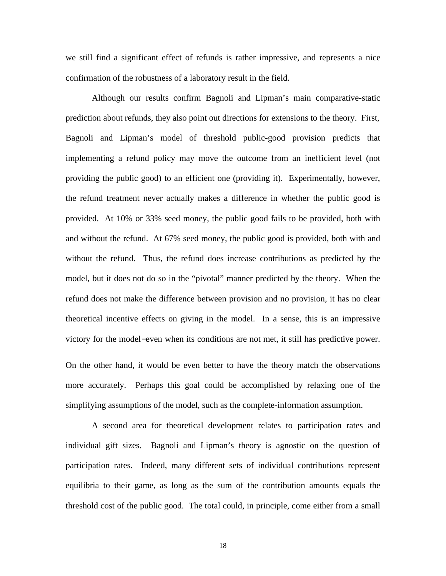we still find a significant effect of refunds is rather impressive, and represents a nice confirmation of the robustness of a laboratory result in the field.

Although our results confirm Bagnoli and Lipman's main comparative-static prediction about refunds, they also point out directions for extensions to the theory. First, Bagnoli and Lipman's model of threshold public-good provision predicts that implementing a refund policy may move the outcome from an inefficient level (not providing the public good) to an efficient one (providing it). Experimentally, however, the refund treatment never actually makes a difference in whether the public good is provided. At 10% or 33% seed money, the public good fails to be provided, both with and without the refund. At 67% seed money, the public good is provided, both with and without the refund. Thus, the refund does increase contributions as predicted by the model, but it does not do so in the "pivotal" manner predicted by the theory. When the refund does not make the difference between provision and no provision, it has no clear theoretical incentive effects on giving in the model. In a sense, this is an impressive victory for the model−even when its conditions are not met, it still has predictive power.

On the other hand, it would be even better to have the theory match the observations more accurately. Perhaps this goal could be accomplished by relaxing one of the simplifying assumptions of the model, such as the complete-information assumption.

A second area for theoretical development relates to participation rates and individual gift sizes. Bagnoli and Lipman's theory is agnostic on the question of participation rates. Indeed, many different sets of individual contributions represent equilibria to their game, as long as the sum of the contribution amounts equals the threshold cost of the public good. The total could, in principle, come either from a small

18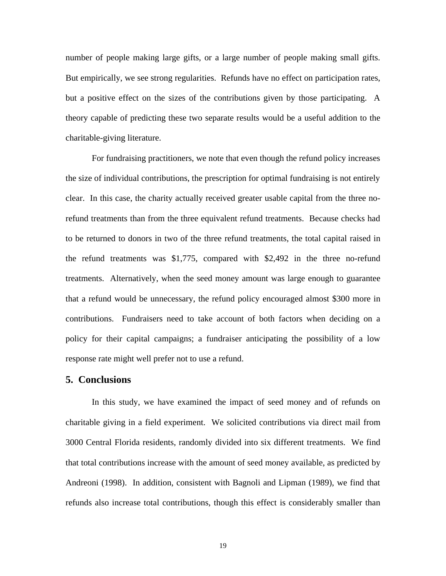number of people making large gifts, or a large number of people making small gifts. But empirically, we see strong regularities. Refunds have no effect on participation rates, but a positive effect on the sizes of the contributions given by those participating. A theory capable of predicting these two separate results would be a useful addition to the charitable-giving literature.

For fundraising practitioners, we note that even though the refund policy increases the size of individual contributions, the prescription for optimal fundraising is not entirely clear. In this case, the charity actually received greater usable capital from the three norefund treatments than from the three equivalent refund treatments. Because checks had to be returned to donors in two of the three refund treatments, the total capital raised in the refund treatments was \$1,775, compared with \$2,492 in the three no-refund treatments. Alternatively, when the seed money amount was large enough to guarantee that a refund would be unnecessary, the refund policy encouraged almost \$300 more in contributions. Fundraisers need to take account of both factors when deciding on a policy for their capital campaigns; a fundraiser anticipating the possibility of a low response rate might well prefer not to use a refund.

### **5. Conclusions**

In this study, we have examined the impact of seed money and of refunds on charitable giving in a field experiment. We solicited contributions via direct mail from 3000 Central Florida residents, randomly divided into six different treatments. We find that total contributions increase with the amount of seed money available, as predicted by Andreoni (1998). In addition, consistent with Bagnoli and Lipman (1989), we find that refunds also increase total contributions, though this effect is considerably smaller than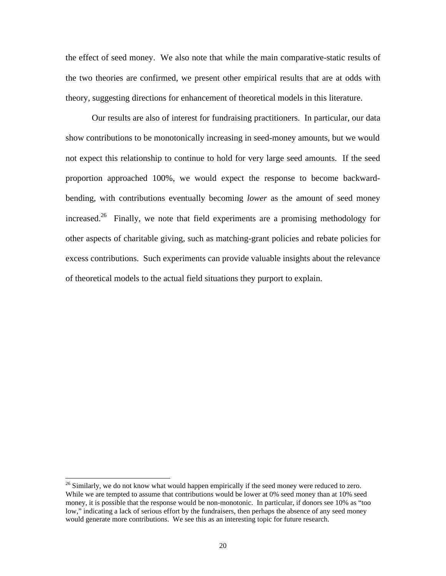the effect of seed money. We also note that while the main comparative-static results of the two theories are confirmed, we present other empirical results that are at odds with theory, suggesting directions for enhancement of theoretical models in this literature.

Our results are also of interest for fundraising practitioners. In particular, our data show contributions to be monotonically increasing in seed-money amounts, but we would not expect this relationship to continue to hold for very large seed amounts. If the seed proportion approached 100%, we would expect the response to become backwardbending, with contributions eventually becoming *lower* as the amount of seed money increased.<sup>26</sup> Finally, we note that field experiments are a promising methodology for other aspects of charitable giving, such as matching-grant policies and rebate policies for excess contributions. Such experiments can provide valuable insights about the relevance of theoretical models to the actual field situations they purport to explain.

 $26$  Similarly, we do not know what would happen empirically if the seed money were reduced to zero. While we are tempted to assume that contributions would be lower at 0% seed money than at 10% seed money, it is possible that the response would be non-monotonic. In particular, if donors see 10% as "too low," indicating a lack of serious effort by the fundraisers, then perhaps the absence of any seed money would generate more contributions. We see this as an interesting topic for future research.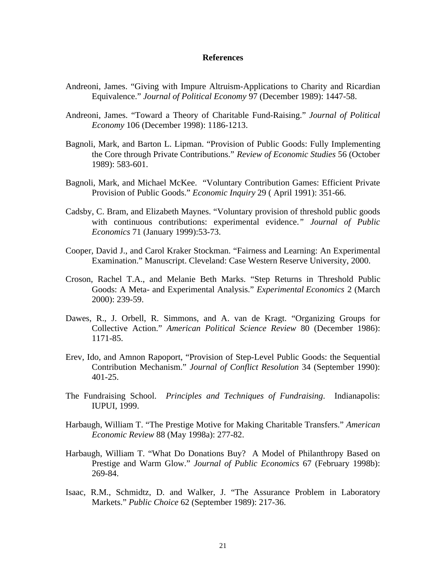### **References**

- Andreoni, James. "Giving with Impure Altruism-Applications to Charity and Ricardian Equivalence." *Journal of Political Economy* 97 (December 1989): 1447-58.
- Andreoni, James. "Toward a Theory of Charitable Fund-Raising." *Journal of Political Economy* 106 (December 1998): 1186-1213.
- Bagnoli, Mark, and Barton L. Lipman. "Provision of Public Goods: Fully Implementing the Core through Private Contributions." *Review of Economic Studies* 56 (October 1989): 583-601.
- Bagnoli, Mark, and Michael McKee. "Voluntary Contribution Games: Efficient Private Provision of Public Goods." *Economic Inquiry* 29 ( April 1991): 351-66.
- Cadsby, C. Bram, and Elizabeth Maynes. "Voluntary provision of threshold public goods with continuous contributions: experimental evidence.*" Journal of Public Economics* 71 (January 1999):53-73.
- Cooper, David J., and Carol Kraker Stockman. "Fairness and Learning: An Experimental Examination." Manuscript. Cleveland: Case Western Reserve University, 2000.
- Croson, Rachel T.A., and Melanie Beth Marks. "Step Returns in Threshold Public Goods: A Meta- and Experimental Analysis." *Experimental Economics* 2 (March 2000): 239-59.
- Dawes, R., J. Orbell, R. Simmons, and A. van de Kragt. "Organizing Groups for Collective Action." *American Political Science Review* 80 (December 1986): 1171-85.
- Erev, Ido, and Amnon Rapoport, "Provision of Step-Level Public Goods: the Sequential Contribution Mechanism." *Journal of Conflict Resolution* 34 (September 1990): 401-25.
- The Fundraising School. *Principles and Techniques of Fundraising*. Indianapolis: IUPUI, 1999.
- Harbaugh, William T. "The Prestige Motive for Making Charitable Transfers." *American Economic Review* 88 (May 1998a): 277-82.
- Harbaugh, William T. "What Do Donations Buy? A Model of Philanthropy Based on Prestige and Warm Glow." *Journal of Public Economics* 67 (February 1998b): 269-84.
- Isaac, R.M., Schmidtz, D. and Walker, J. "The Assurance Problem in Laboratory Markets." *Public Choice* 62 (September 1989): 217-36.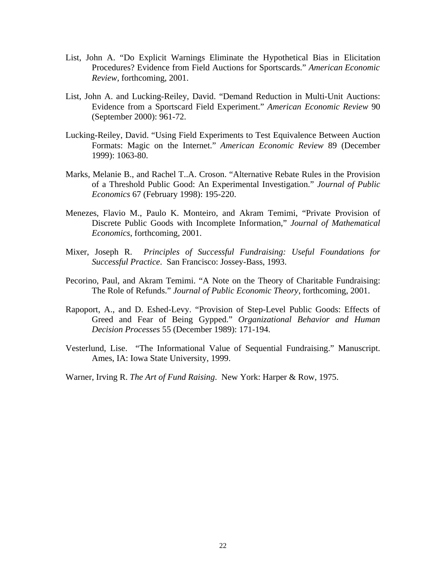- List, John A. "Do Explicit Warnings Eliminate the Hypothetical Bias in Elicitation Procedures? Evidence from Field Auctions for Sportscards." *American Economic Review,* forthcoming, 2001.
- List, John A. and Lucking-Reiley, David. "Demand Reduction in Multi-Unit Auctions: Evidence from a Sportscard Field Experiment." *American Economic Review* 90 (September 2000): 961-72.
- Lucking-Reiley, David. "Using Field Experiments to Test Equivalence Between Auction Formats: Magic on the Internet." *American Economic Review* 89 (December 1999): 1063-80.
- Marks, Melanie B., and Rachel T..A. Croson. "Alternative Rebate Rules in the Provision of a Threshold Public Good: An Experimental Investigation." *Journal of Public Economics* 67 (February 1998): 195-220.
- Menezes, Flavio M., Paulo K. Monteiro, and Akram Temimi, "Private Provision of Discrete Public Goods with Incomplete Information," *Journal of Mathematical Economics*, forthcoming, 2001.
- Mixer, Joseph R. *Principles of Successful Fundraising: Useful Foundations for Successful Practice*. San Francisco: Jossey-Bass, 1993.
- Pecorino, Paul, and Akram Temimi. "A Note on the Theory of Charitable Fundraising: The Role of Refunds." *Journal of Public Economic Theory*, forthcoming, 2001.
- Rapoport, A., and D. Eshed-Levy. "Provision of Step-Level Public Goods: Effects of Greed and Fear of Being Gypped." *Organizational Behavior and Human Decision Processes* 55 (December 1989): 171-194.
- Vesterlund, Lise. "The Informational Value of Sequential Fundraising." Manuscript. Ames, IA: Iowa State University, 1999.
- Warner, Irving R. *The Art of Fund Raising*. New York: Harper & Row, 1975.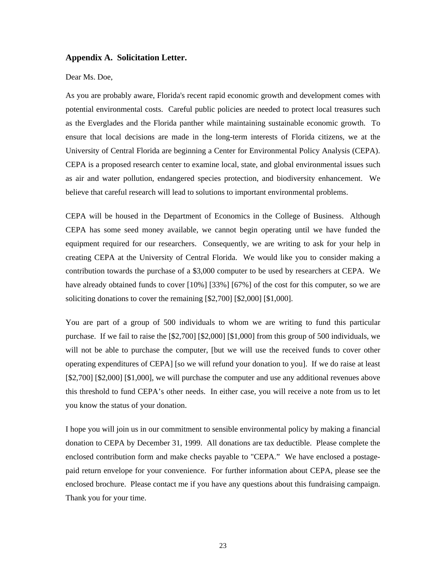#### **Appendix A. Solicitation Letter.**

#### Dear Ms. Doe,

As you are probably aware, Florida's recent rapid economic growth and development comes with potential environmental costs. Careful public policies are needed to protect local treasures such as the Everglades and the Florida panther while maintaining sustainable economic growth. To ensure that local decisions are made in the long-term interests of Florida citizens, we at the University of Central Florida are beginning a Center for Environmental Policy Analysis (CEPA). CEPA is a proposed research center to examine local, state, and global environmental issues such as air and water pollution, endangered species protection, and biodiversity enhancement. We believe that careful research will lead to solutions to important environmental problems.

CEPA will be housed in the Department of Economics in the College of Business. Although CEPA has some seed money available, we cannot begin operating until we have funded the equipment required for our researchers. Consequently, we are writing to ask for your help in creating CEPA at the University of Central Florida. We would like you to consider making a contribution towards the purchase of a \$3,000 computer to be used by researchers at CEPA. We have already obtained funds to cover [10%] [33%] [67%] of the cost for this computer, so we are soliciting donations to cover the remaining [\$2,700] [\$2,000] [\$1,000].

You are part of a group of 500 individuals to whom we are writing to fund this particular purchase. If we fail to raise the [\$2,700] [\$2,000] [\$1,000] from this group of 500 individuals, we will not be able to purchase the computer, [but we will use the received funds to cover other operating expenditures of CEPA] [so we will refund your donation to you]. If we do raise at least [\$2,700] [\$2,000] [\$1,000], we will purchase the computer and use any additional revenues above this threshold to fund CEPA's other needs. In either case, you will receive a note from us to let you know the status of your donation.

I hope you will join us in our commitment to sensible environmental policy by making a financial donation to CEPA by December 31, 1999. All donations are tax deductible. Please complete the enclosed contribution form and make checks payable to "CEPA." We have enclosed a postagepaid return envelope for your convenience. For further information about CEPA, please see the enclosed brochure. Please contact me if you have any questions about this fundraising campaign. Thank you for your time.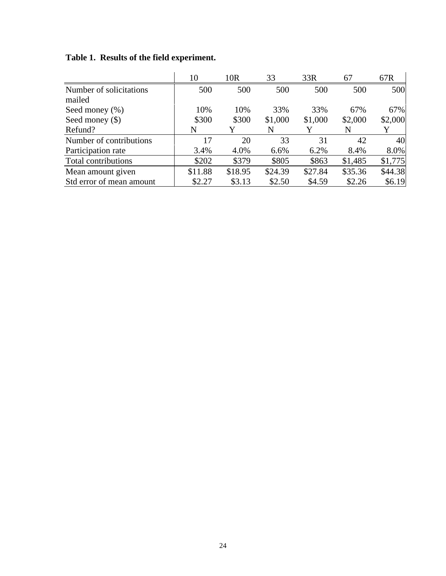|                          | 10      | 10 <sub>R</sub> | 33      | 33R     | 67      | 67R     |
|--------------------------|---------|-----------------|---------|---------|---------|---------|
| Number of solicitations  | 500     | 500             | 500     | 500     | 500     | 500     |
| mailed                   |         |                 |         |         |         |         |
| Seed money $(\% )$       | 10%     | 10%             | 33%     | 33%     | 67%     | 67%     |
| Seed money $(\$)$        | \$300   | \$300           | \$1,000 | \$1,000 | \$2,000 | \$2,000 |
| Refund?                  | N       |                 | N       |         | N       |         |
| Number of contributions  | 17      | 20              | 33      | 31      | 42      | 40      |
| Participation rate       | 3.4%    | 4.0%            | 6.6%    | 6.2%    | 8.4%    | 8.0%    |
| Total contributions      | \$202   | \$379           | \$805   | \$863   | \$1,485 | \$1,775 |
| Mean amount given        | \$11.88 | \$18.95         | \$24.39 | \$27.84 | \$35.36 | \$44.38 |
| Std error of mean amount | \$2.27  | \$3.13          | \$2.50  | \$4.59  | \$2.26  | \$6.19  |

**Table 1. Results of the field experiment.**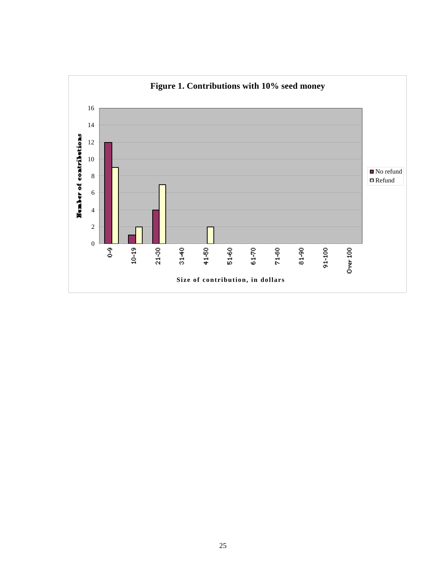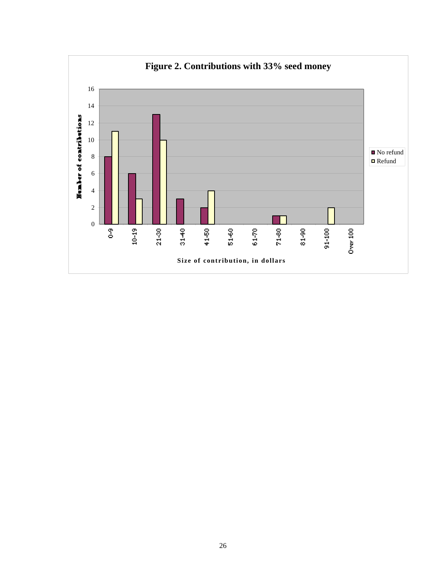